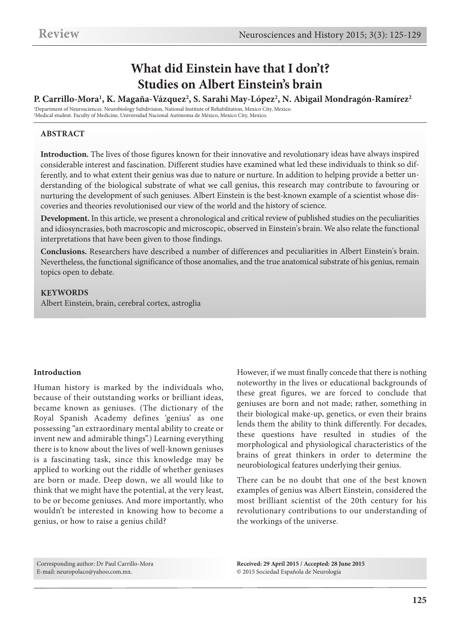# **What did Einstein have that I don't? Studies on Albert Einstein's brain**

#### **P. Carrillo-Mora1, K. Magaña-Vázquez2, S. Sarahi May-López2, N. Abigail Mondragón-Ramírez2**

1 Department of Neurosciences. Neurobiology Subdivision, National Institute of Rehabilitation, Mexico City, Mexico. 2 Medical student. Faculty of Medicine, Universidad Nacional Autónoma de México, Mexico City, Mexico.

#### **ABSTRACT**

**Introduction.** The lives of those figures known for their innovative and revolutionary ideas have always inspired considerable interest and fascination. Different studies have examined what led these individuals to think so differently, and to what extent their genius was due to nature or nurture. In addition to helping provide <sup>a</sup> better understanding of the biological substrate of what we call genius, this research may contribute to favouring or nurturing the development of such geniuses. Albert Einstein is the best-known example of <sup>a</sup> scientist whose discoveries and theories revolutionised our view of the world and the history of science.

Development. In this article, we present a chronological and critical review of published studies on the peculiarities and idiosyncrasies, both macroscopic and microscopic, observed in Einstein's brain. We also relate the functional interpretations that have been given to those findings.

**Conclusions.** Researchers have described <sup>a</sup> number of differences and peculiarities in Albert Einstein's brain. Nevertheless, the functional significance of those anomalies, and the true anatomical substrate of his genius, remain topics open to debate.

#### **KEYWORDS**

Albert Einstein, brain, cerebral cortex, astroglia

#### **Introduction**

Human history is marked by the individuals who, because of their outstanding works or brilliant ideas, became known as geniuses. (The dictionary of the Royal Spanish Academy defines 'genius' as one possessing "an extraordinary mental ability to create or invent new and admirable things".) Learning everything there is to know about the lives of well-known geniuses is a fascinating task, since this knowledge may be applied to working out the riddle of whether geniuses are born or made. Deep down, we all would like to think that we might have the potential, at the very least, to be or become geniuses. And more importantly, who wouldn't be interested in knowing how to become a genius, or how to raise a genius child?

However, if we must finally concede that there is nothing noteworthy in the lives or educational backgrounds of these great figures, we are forced to conclude that geniuses are born and not made; rather, something in their biological make-up, genetics, or even their brains lends them the ability to think differently. For decades, these questions have resulted in studies of the morphological and physiological characteristics of the brains of great thinkers in order to determine the neurobiological features underlying their genius.

There can be no doubt that one of the best known examples of genius was Albert Einstein, considered the most brilliant scientist of the 20th century for his revolutionary contributions to our understanding of the workings of the universe.

Corresponding author: Dr Paul Carrillo-Mora E-mail: neuropolaco@yahoo.com.mx.

**Received: 29 April 2015 / Accepted: 28 June 2015** © 2015 Sociedad Española de Neurología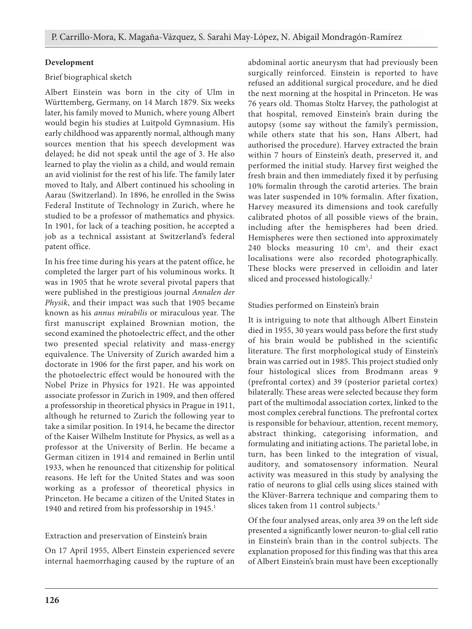## **Development**

## Brief biographical sketch

Albert Einstein was born in the city of Ulm in Württemberg, Germany, on 14 March 1879. Six weeks later, his family moved to Munich, where young Albert would begin his studies at Luitpold Gymnasium. His early childhood was apparently normal, although many sources mention that his speech development was delayed; he did not speak until the age of 3. He also learned to play the violin as a child, and would remain an avid violinist for the rest of his life. The family later moved to Italy, and Albert continued his schooling in Aarau (Switzerland). In 1896, he enrolled in the Swiss Federal Institute of Technology in Zurich, where he studied to be a professor of mathematics and physics. In 1901, for lack of a teaching position, he accepted a job as a technical assistant at Switzerland's federal patent office.

In his free time during his years at the patent office, he completed the larger part of his voluminous works. It was in 1905 that he wrote several pivotal papers that were published in the prestigious journal *Annalen der Physik*, and their impact was such that 1905 became known as his *annus mirabilis* or miraculous year. The first manuscript explained Brownian motion, the second examined the photoelectric effect, and the other two presented special relativity and mass-energy equivalence. The University of Zurich awarded him a doctorate in 1906 for the first paper, and his work on the photoelectric effect would be honoured with the Nobel Prize in Physics for 1921. He was appointed associate professor in Zurich in 1909, and then offered a professorship in theoretical physics in Prague in 1911, although he returned to Zurich the following year to take a similar position. In 1914, he became the director of the Kaiser Wilhelm Institute for Physics, as well as a professor at the University of Berlin. He became a German citizen in 1914 and remained in Berlin until 1933, when he renounced that citizenship for political reasons. He left for the United States and was soon working as a professor of theoretical physics in Princeton. He became a citizen of the United States in 1940 and retired from his professorship in 1945. 1

# Extraction and preservation of Einstein's brain

On 17 April 1955, Albert Einstein experienced severe internal haemorrhaging caused by the rupture of an

abdominal aortic aneurysm that had previously been surgically reinforced. Einstein is reported to have refused an additional surgical procedure, and he died the next morning at the hospital in Princeton. He was 76 years old. Thomas Stoltz Harvey, the pathologist at that hospital, removed Einstein's brain during the autopsy (some say without the family's permission, while others state that his son, Hans Albert, had authorised the procedure). Harvey extracted the brain within 7 hours of Einstein's death, preserved it, and performed the initial study. Harvey first weighed the fresh brain and then immediately fixed it by perfusing 10% formalin through the carotid arteries. The brain was later suspended in 10% formalin. After fixation, Harvey measured its dimensions and took carefully calibrated photos of all possible views of the brain, including after the hemispheres had been dried. Hemispheres were then sectioned into approximately 240 blocks measuring  $10 \text{ cm}^3$ , and their exact localisations were also recorded photographically. These blocks were preserved in celloidin and later sliced and processed histologically. 2

## Studies performed on Einstein's brain

It is intriguing to note that although Albert Einstein died in 1955, 30 years would pass before the first study of his brain would be published in the scientific literature. The first morphological study of Einstein's brain was carried out in 1985. This project studied only four histological slices from Brodmann areas 9 (prefrontal cortex) and 39 (posterior parietal cortex) bilaterally. These areas were selected because they form part of the multimodal association cortex, linked to the most complex cerebral functions. The prefrontal cortex is responsible for behaviour, attention, recent memory, abstract thinking, categorising information, and formulating and initiating actions. The parietal lobe, in turn, has been linked to the integration of visual, auditory, and somatosensory information. Neural activity was measured in this study by analysing the ratio of neurons to glial cells using slices stained with the Klüver-Barrera technique and comparing them to slices taken from 11 control subjects. 3

Of the four analysed areas, only area 39 on the left side presented a significantly lower neuron-to-glial cell ratio in Einstein's brain than in the control subjects. The explanation proposed for this finding was that this area of Albert Einstein's brain must have been exceptionally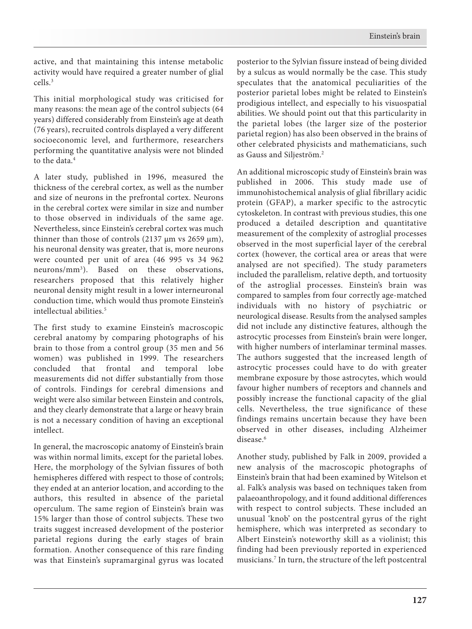active, and that maintaining this intense metabolic activity would have required a greater number of glial cells. 3

This initial morphological study was criticised for many reasons: the mean age of the control subjects (64 years) differed considerably from Einstein's age at death (76 years), recruited controls displayed a very different socioeconomic level, and furthermore, researchers performing the quantitative analysis were not blinded to the data. 4

A later study, published in 1996, measured the thickness of the cerebral cortex, as well as the number and size of neurons in the prefrontal cortex. Neurons in the cerebral cortex were similar in size and number to those observed in individuals of the same age. Nevertheless, since Einstein's cerebral cortex was much thinner than those of controls (2137  $\mu$ m vs 2659  $\mu$ m), his neuronal density was greater, that is, more neurons were counted per unit of area (46 995 vs 34 962 neurons/mm3 ). Based on these observations, researchers proposed that this relatively higher neuronal density might result in a lower interneuronal conduction time, which would thus promote Einstein's intellectual abilities. 5

The first study to examine Einstein's macroscopic cerebral anatomy by comparing photographs of his brain to those from a control group (35 men and 56 women) was published in 1999. The researchers concluded that frontal and temporal lobe measurements did not differ substantially from those of controls. Findings for cerebral dimensions and weight were also similar between Einstein and controls, and they clearly demonstrate that a large or heavy brain is not a necessary condition of having an exceptional intellect.

In general, the macroscopic anatomy of Einstein's brain was within normal limits, except for the parietal lobes. Here, the morphology of the Sylvian fissures of both hemispheres differed with respect to those of controls; they ended at an anterior location, and according to the authors, this resulted in absence of the parietal operculum. The same region of Einstein's brain was 15% larger than those of control subjects. These two traits suggest increased development of the posterior parietal regions during the early stages of brain formation. Another consequence of this rare finding was that Einstein's supramarginal gyrus was located

posterior to the Sylvian fissure instead of being divided by a sulcus as would normally be the case. This study speculates that the anatomical peculiarities of the posterior parietal lobes might be related to Einstein's prodigious intellect, and especially to his visuospatial abilities. We should point out that this particularity in the parietal lobes (the larger size of the posterior parietal region) has also been observed in the brains of other celebrated physicists and mathematicians, such as Gauss and Siljeström. 2

An additional microscopic study of Einstein's brain was published in 2006. This study made use of immunohistochemical analysis of glial fibrillary acidic protein (GFAP), a marker specific to the astrocytic cytoskeleton. In contrast with previous studies, this one produced a detailed description and quantitative measurement of the complexity of astroglial processes observed in the most superficial layer of the cerebral cortex (however, the cortical area or areas that were analysed are not specified). The study parameters included the parallelism, relative depth, and tortuosity of the astroglial processes. Einstein's brain was compared to samples from four correctly age-matched individuals with no history of psychiatric or neurological disease. Results from the analysed samples did not include any distinctive features, although the astrocytic processes from Einstein's brain were longer, with higher numbers of interlaminar terminal masses. The authors suggested that the increased length of astrocytic processes could have to do with greater membrane exposure by those astrocytes, which would favour higher numbers of receptors and channels and possibly increase the functional capacity of the glial cells. Nevertheless, the true significance of these findings remains uncertain because they have been observed in other diseases, including Alzheimer disease. 6

Another study, published by Falk in 2009, provided a new analysis of the macroscopic photographs of Einstein's brain that had been examined by Witelson et al. Falk's analysis was based on techniques taken from palaeoanthropology, and it found additional differences with respect to control subjects. These included an unusual 'knob' on the postcentral gyrus of the right hemisphere, which was interpreted as secondary to Albert Einstein's noteworthy skill as a violinist; this finding had been previously reported in experienced musicians. <sup>7</sup> In turn, the structure of the left postcentral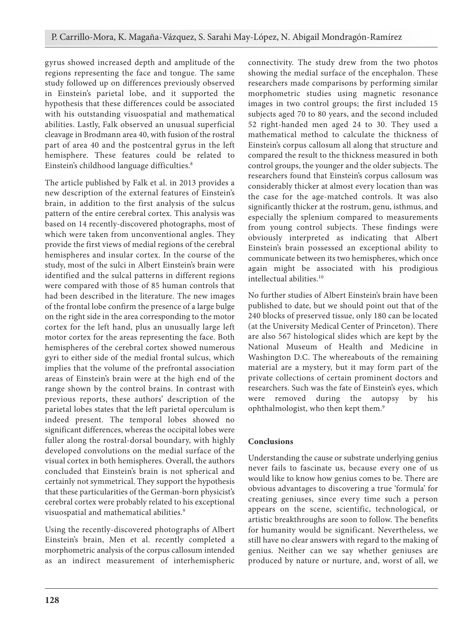gyrus showed increased depth and amplitude of the regions representing the face and tongue. The same study followed up on differences previously observed in Einstein's parietal lobe, and it supported the hypothesis that these differences could be associated with his outstanding visuospatial and mathematical abilities. Lastly, Falk observed an unusual superficial cleavage in Brodmann area 40, with fusion of the rostral part of area 40 and the postcentral gyrus in the left hemisphere. These features could be related to Einstein's childhood language difficulties. 8

The article published by Falk et al. in 2013 provides a new description of the external features of Einstein's brain, in addition to the first analysis of the sulcus pattern of the entire cerebral cortex. This analysis was based on 14 recently-discovered photographs, most of which were taken from unconventional angles. They provide the first views of medial regions of the cerebral hemispheres and insular cortex. In the course of the study, most of the sulci in Albert Einstein's brain were identified and the sulcal patterns in different regions were compared with those of 85 human controls that had been described in the literature. The new images of the frontal lobe confirm the presence of a large bulge on the right side in the area corresponding to the motor cortex for the left hand, plus an unusually large left motor cortex for the areas representing the face. Both hemispheres of the cerebral cortex showed numerous gyri to either side of the medial frontal sulcus, which implies that the volume of the prefrontal association areas of Einstein's brain were at the high end of the range shown by the control brains. In contrast with previous reports, these authors' description of the parietal lobes states that the left parietal operculum is indeed present. The temporal lobes showed no significant differences, whereas the occipital lobes were fuller along the rostral-dorsal boundary, with highly developed convolutions on the medial surface of the visual cortex in both hemispheres. Overall, the authors concluded that Einstein's brain is not spherical and certainly not symmetrical. They support the hypothesis that these particularities of the German-born physicist's cerebral cortex were probably related to his exceptional visuospatial and mathematical abilities. 9

Using the recently-discovered photographs of Albert Einstein's brain, Men et al. recently completed a morphometric analysis of the corpus callosum intended as an indirect measurement of interhemispheric

connectivity. The study drew from the two photos showing the medial surface of the encephalon. These researchers made comparisons by performing similar morphometric studies using magnetic resonance images in two control groups; the first included 15 subjects aged 70 to 80 years, and the second included 52 right-handed men aged 24 to 30. They used a mathematical method to calculate the thickness of Einstein's corpus callosum all along that structure and compared the result to the thickness measured in both control groups, the younger and the older subjects. The researchers found that Einstein's corpus callosum was considerably thicker at almost every location than was the case for the age-matched controls. It was also significantly thicker at the rostrum, genu, isthmus, and especially the splenium compared to measurements from young control subjects. These findings were obviously interpreted as indicating that Albert Einstein's brain possessed an exceptional ability to communicate between its two hemispheres, which once again might be associated with his prodigious intellectual abilities. 10

No further studies of Albert Einstein's brain have been published to date, but we should point out that of the 240 blocks of preserved tissue, only 180 can be located (at the University Medical Center of Princeton). There are also 567 histological slides which are kept by the National Museum of Health and Medicine in Washington D.C. The whereabouts of the remaining material are a mystery, but it may form part of the private collections of certain prominent doctors and researchers. Such was the fate of Einstein's eyes, which were removed during the autopsy by his ophthalmologist, who then kept them.<sup>9</sup>

# **Conclusions**

Understanding the cause or substrate underlying genius never fails to fascinate us, because every one of us would like to know how genius comes to be. There are obvious advantages to discovering a true 'formula' for creating geniuses, since every time such a person appears on the scene, scientific, technological, or artistic breakthroughs are soon to follow. The benefits for humanity would be significant. Nevertheless, we still have no clear answers with regard to the making of genius. Neither can we say whether geniuses are produced by nature or nurture, and, worst of all, we